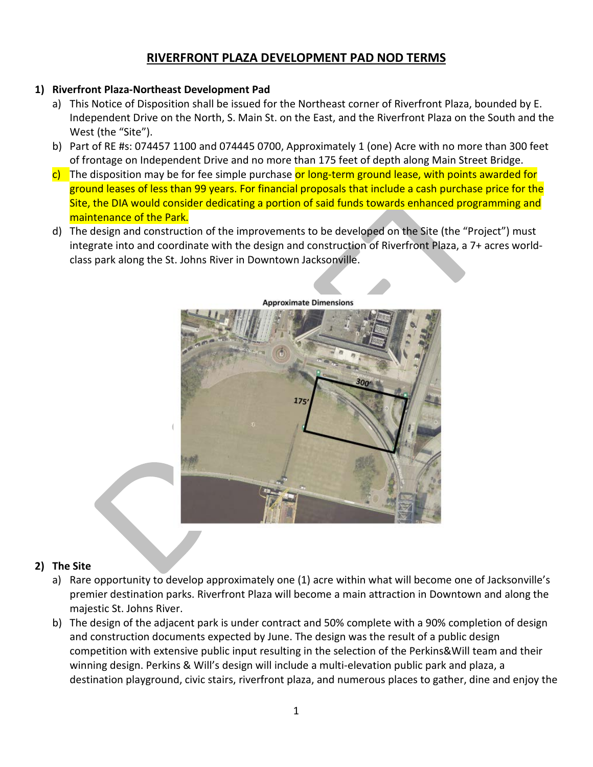# **RIVERFRONT PLAZA DEVELOPMENT PAD NOD TERMS**

#### **1) Riverfront Plaza-Northeast Development Pad**

- a) This Notice of Disposition shall be issued for the Northeast corner of Riverfront Plaza, bounded by E. Independent Drive on the North, S. Main St. on the East, and the Riverfront Plaza on the South and the West (the "Site").
- b) Part of RE #s: 074457 1100 and 074445 0700, Approximately 1 (one) Acre with no more than 300 feet of frontage on Independent Drive and no more than 175 feet of depth along Main Street Bridge.
- $\frac{c}{c}$  The disposition may be for fee simple purchase or long-term ground lease, with points awarded for ground leases of less than 99 years. For financial proposals that include a cash purchase price for the Site, the DIA would consider dedicating a portion of said funds towards enhanced programming and maintenance of the Park.
- d) The design and construction of the improvements to be developed on the Site (the "Project") must integrate into and coordinate with the design and construction of Riverfront Plaza, a 7+ acres worldclass park along the St. Johns River in Downtown Jacksonville.



#### **Approximate Dimensions**

#### **2) The Site**

- a) Rare opportunity to develop approximately one (1) acre within what will become one of Jacksonville's premier destination parks. Riverfront Plaza will become a main attraction in Downtown and along the majestic St. Johns River.
- b) The design of the adjacent park is under contract and 50% complete with a 90% completion of design and construction documents expected by June. The design was the result of a public design competition with extensive public input resulting in the selection of the Perkins&Will team and their winning design. Perkins & Will's design will include a multi-elevation public park and plaza, a destination playground, civic stairs, riverfront plaza, and numerous places to gather, dine and enjoy the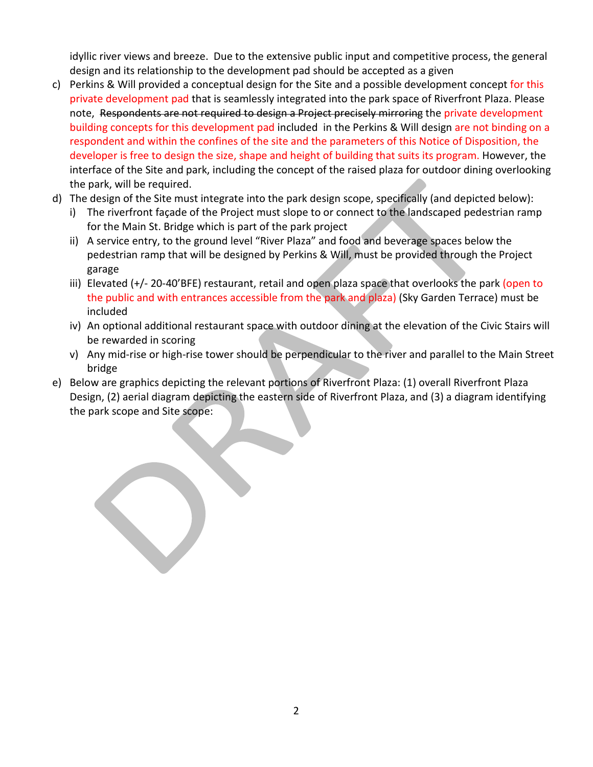idyllic river views and breeze. Due to the extensive public input and competitive process, the general design and its relationship to the development pad should be accepted as a given

- c) Perkins & Will provided a conceptual design for the Site and a possible development concept for this private development pad that is seamlessly integrated into the park space of Riverfront Plaza. Please note, Respondents are not required to design a Project precisely mirroring the private development building concepts for this development pad included in the Perkins & Will design are not binding on a respondent and within the confines of the site and the parameters of this Notice of Disposition, the developer is free to design the size, shape and height of building that suits its program. However, the interface of the Site and park, including the concept of the raised plaza for outdoor dining overlooking the park, will be required.
- d) The design of the Site must integrate into the park design scope, specifically (and depicted below):
	- i) The riverfront façade of the Project must slope to or connect to the landscaped pedestrian ramp for the Main St. Bridge which is part of the park project
	- ii) A service entry, to the ground level "River Plaza" and food and beverage spaces below the pedestrian ramp that will be designed by Perkins & Will, must be provided through the Project garage
	- iii) Elevated (+/- 20-40'BFE) restaurant, retail and open plaza space that overlooks the park (open to the public and with entrances accessible from the park and plaza) (Sky Garden Terrace) must be included
	- iv) An optional additional restaurant space with outdoor dining at the elevation of the Civic Stairs will be rewarded in scoring
	- v) Any mid-rise or high-rise tower should be perpendicular to the river and parallel to the Main Street bridge
- e) Below are graphics depicting the relevant portions of Riverfront Plaza: (1) overall Riverfront Plaza Design, (2) aerial diagram depicting the eastern side of Riverfront Plaza, and (3) a diagram identifying the park scope and Site scope: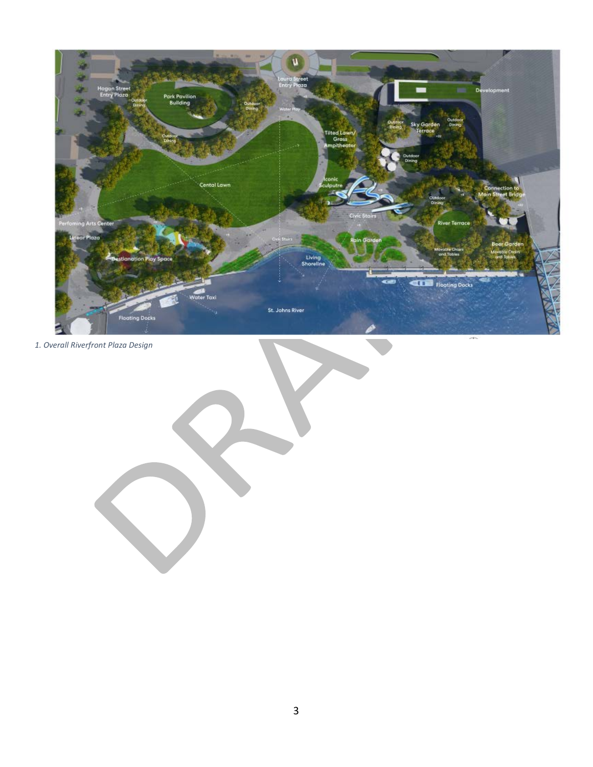

*1. Overall Riverfront Plaza Design*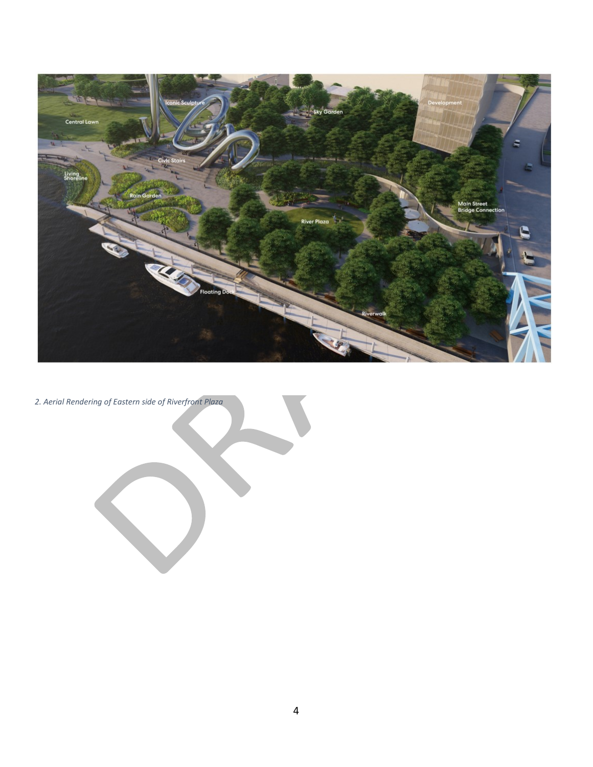

*2. Aerial Rendering of Eastern side of Riverfront Plaza*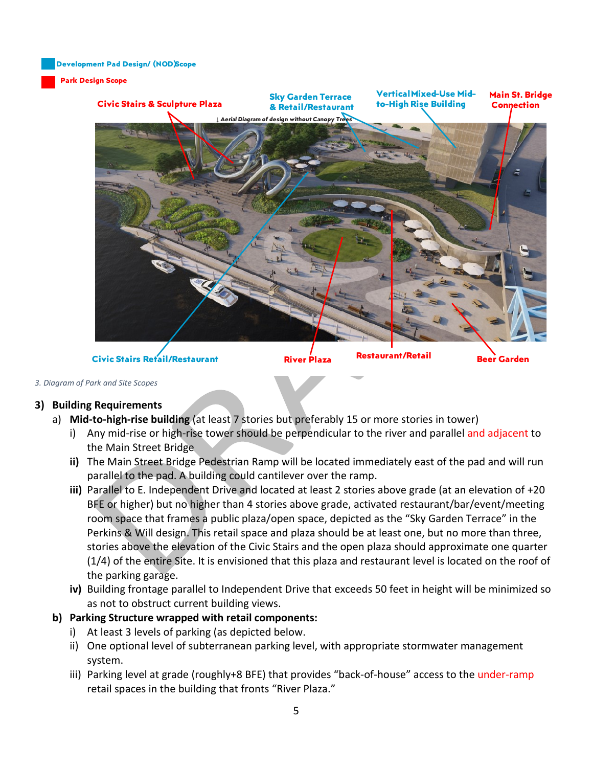**Development Pad Design/ (NOD) Scope**

#### **Park Design Scope**



#### *3. Diagram of Park and Site Scopes*

#### **3) Building Requirements**

- a) **Mid-to-high-rise building** (at least 7 stories but preferably 15 or more stories in tower)
	- i) Any mid-rise or high-rise tower should be perpendicular to the river and parallel and adjacent to the Main Street Bridge
	- **ii)** The Main Street Bridge Pedestrian Ramp will be located immediately east of the pad and will run parallel to the pad. A building could cantilever over the ramp.
	- **iii)** Parallel to E. Independent Drive and located at least 2 stories above grade (at an elevation of +20 BFE or higher) but no higher than 4 stories above grade, activated restaurant/bar/event/meeting room space that frames a public plaza/open space, depicted as the "Sky Garden Terrace" in the Perkins & Will design. This retail space and plaza should be at least one, but no more than three, stories above the elevation of the Civic Stairs and the open plaza should approximate one quarter (1/4) of the entire Site. It is envisioned that this plaza and restaurant level is located on the roof of the parking garage.
	- **iv)** Building frontage parallel to Independent Drive that exceeds 50 feet in height will be minimized so as not to obstruct current building views.

#### **b) Parking Structure wrapped with retail components:**

- i) At least 3 levels of parking (as depicted below.
- ii) One optional level of subterranean parking level, with appropriate stormwater management system.
- iii) Parking level at grade (roughly+8 BFE) that provides "back-of-house" access to the under-ramp retail spaces in the building that fronts "River Plaza."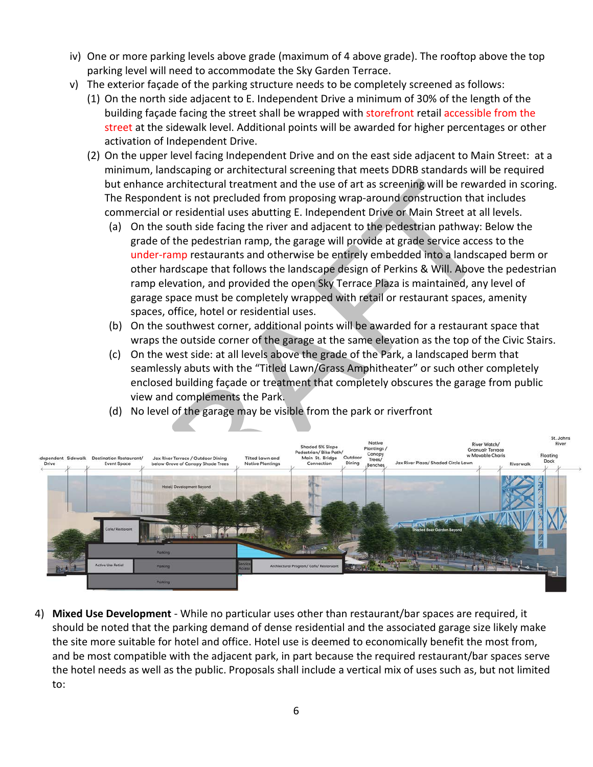- iv) One or more parking levels above grade (maximum of 4 above grade). The rooftop above the top parking level will need to accommodate the Sky Garden Terrace.
- v) The exterior façade of the parking structure needs to be completely screened as follows:
	- (1) On the north side adjacent to E. Independent Drive a minimum of 30% of the length of the building façade facing the street shall be wrapped with storefront retail accessible from the street at the sidewalk level. Additional points will be awarded for higher percentages or other activation of Independent Drive.
	- (2) On the upper level facing Independent Drive and on the east side adjacent to Main Street: at a minimum, landscaping or architectural screening that meets DDRB standards will be required but enhance architectural treatment and the use of art as screening will be rewarded in scoring. The Respondent is not precluded from proposing wrap-around construction that includes commercial or residential uses abutting E. Independent Drive or Main Street at all levels.
		- (a) On the south side facing the river and adjacent to the pedestrian pathway: Below the grade of the pedestrian ramp, the garage will provide at grade service access to the under-ramp restaurants and otherwise be entirely embedded into a landscaped berm or other hardscape that follows the landscape design of Perkins & Will. Above the pedestrian ramp elevation, and provided the open Sky Terrace Plaza is maintained, any level of garage space must be completely wrapped with retail or restaurant spaces, amenity spaces, office, hotel or residential uses.
		- (b) On the southwest corner, additional points will be awarded for a restaurant space that wraps the outside corner of the garage at the same elevation as the top of the Civic Stairs.
		- (c) On the west side: at all levels above the grade of the Park, a landscaped berm that seamlessly abuts with the "Titled Lawn/Grass Amphitheater" or such other completely enclosed building façade or treatment that completely obscures the garage from public view and complements the Park.
		- (d) No level of the garage may be visible from the park or riverfront



4) **Mixed Use Development** - While no particular uses other than restaurant/bar spaces are required, it should be noted that the parking demand of dense residential and the associated garage size likely make the site more suitable for hotel and office. Hotel use is deemed to economically benefit the most from, and be most compatible with the adjacent park, in part because the required restaurant/bar spaces serve the hotel needs as well as the public. Proposals shall include a vertical mix of uses such as, but not limited to: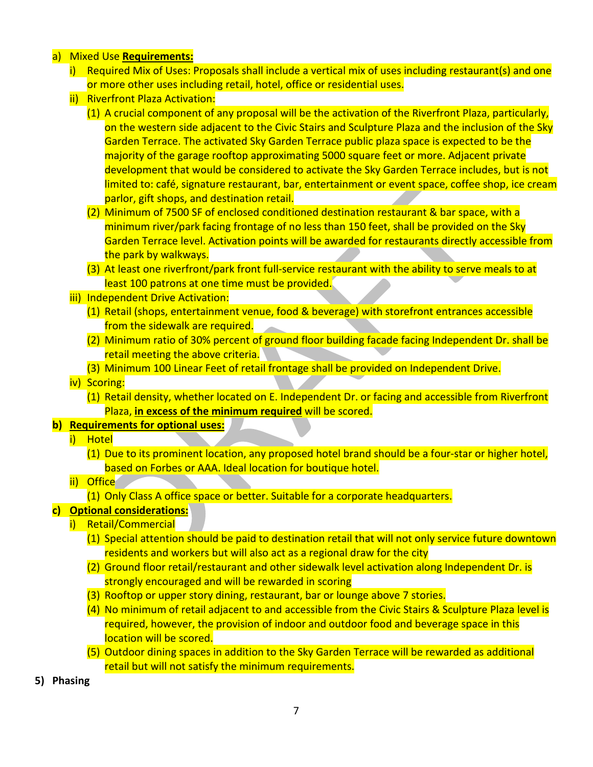- a) Mixed Use **Requirements:**
	- i) Required Mix of Uses: Proposals shall include a vertical mix of uses including restaurant(s) and one or more other uses including retail, hotel, office or residential uses.
	- ii) Riverfront Plaza Activation:
		- (1) A crucial component of any proposal will be the activation of the Riverfront Plaza, particularly, on the western side adjacent to the Civic Stairs and Sculpture Plaza and the inclusion of the Sky Garden Terrace. The activated Sky Garden Terrace public plaza space is expected to be the majority of the garage rooftop approximating 5000 square feet or more. Adjacent private development that would be considered to activate the Sky Garden Terrace includes, but is not limited to: café, signature restaurant, bar, entertainment or event space, coffee shop, ice cream parlor, gift shops, and destination retail.
		- (2) Minimum of 7500 SF of enclosed conditioned destination restaurant & bar space, with a minimum river/park facing frontage of no less than 150 feet, shall be provided on the Sky Garden Terrace level. Activation points will be awarded for restaurants directly accessible from the park by walkways.
		- (3) At least one riverfront/park front full-service restaurant with the ability to serve meals to at least 100 patrons at one time must be provided.
	- iii) Independent Drive Activation:
		- (1) Retail (shops, entertainment venue, food & beverage) with storefront entrances accessible from the sidewalk are required.
		- (2) Minimum ratio of 30% percent of ground floor building facade facing Independent Dr. shall be retail meeting the above criteria.
		- (3) Minimum 100 Linear Feet of retail frontage shall be provided on Independent Drive.
	- iv) Scoring:
		- (1) Retail density, whether located on E. Independent Dr. or facing and accessible from Riverfront Plaza, **in excess of the minimum required** will be scored.

#### **b) Requirements for optional uses:**

- i) Hotel
	- (1) Due to its prominent location, any proposed hotel brand should be a four-star or higher hotel, based on Forbes or AAA. Ideal location for boutique hotel.

#### ii) Office

(1) Only Class A office space or better. Suitable for a corporate headquarters.

#### **c) Optional considerations:**

- i) Retail/Commercial
	- (1) Special attention should be paid to destination retail that will not only service future downtown residents and workers but will also act as a regional draw for the city
	- (2) Ground floor retail/restaurant and other sidewalk level activation along Independent Dr. is strongly encouraged and will be rewarded in scoring
	- (3) Rooftop or upper story dining, restaurant, bar or lounge above 7 stories.
	- (4) No minimum of retail adjacent to and accessible from the Civic Stairs & Sculpture Plaza level is required, however, the provision of indoor and outdoor food and beverage space in this location will be scored.
	- (5) Outdoor dining spaces in addition to the Sky Garden Terrace will be rewarded as additional retail but will not satisfy the minimum requirements.

**5) Phasing**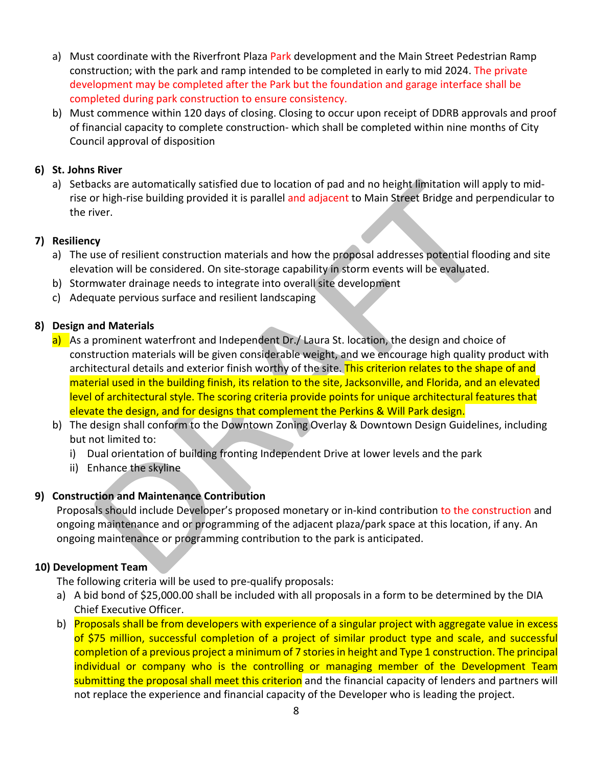- a) Must coordinate with the Riverfront Plaza Park development and the Main Street Pedestrian Ramp construction; with the park and ramp intended to be completed in early to mid 2024. The private development may be completed after the Park but the foundation and garage interface shall be completed during park construction to ensure consistency.
- b) Must commence within 120 days of closing. Closing to occur upon receipt of DDRB approvals and proof of financial capacity to complete construction- which shall be completed within nine months of City Council approval of disposition

#### **6) St. Johns River**

a) Setbacks are automatically satisfied due to location of pad and no height limitation will apply to midrise or high-rise building provided it is parallel and adjacent to Main Street Bridge and perpendicular to the river.

#### **7) Resiliency**

- a) The use of resilient construction materials and how the proposal addresses potential flooding and site elevation will be considered. On site-storage capability in storm events will be evaluated.
- b) Stormwater drainage needs to integrate into overall site development
- c) Adequate pervious surface and resilient landscaping

#### **8) Design and Materials**

- a) As a prominent waterfront and Independent Dr./ Laura St. location, the design and choice of construction materials will be given considerable weight, and we encourage high quality product with architectural details and exterior finish worthy of the site. This criterion relates to the shape of and material used in the building finish, its relation to the site, Jacksonville, and Florida, and an elevated level of architectural style. The scoring criteria provide points for unique architectural features that elevate the design, and for designs that complement the Perkins & Will Park design.
- b) The design shall conform to the Downtown Zoning Overlay & Downtown Design Guidelines, including but not limited to:
	- i) Dual orientation of building fronting Independent Drive at lower levels and the park
	- ii) Enhance the skyline

# **9) Construction and Maintenance Contribution**

Proposals should include Developer's proposed monetary or in-kind contribution to the construction and ongoing maintenance and or programming of the adjacent plaza/park space at this location, if any. An ongoing maintenance or programming contribution to the park is anticipated.

#### **10) Development Team**

The following criteria will be used to pre-qualify proposals:

- a) A bid bond of \$25,000.00 shall be included with all proposals in a form to be determined by the DIA Chief Executive Officer.
- b) Proposals shall be from developers with experience of a singular project with aggregate value in excess of \$75 million, successful completion of a project of similar product type and scale, and successful completion of a previous project a minimum of 7 storiesin height and Type 1 construction. The principal individual or company who is the controlling or managing member of the Development Team submitting the proposal shall meet this criterion and the financial capacity of lenders and partners will not replace the experience and financial capacity of the Developer who is leading the project.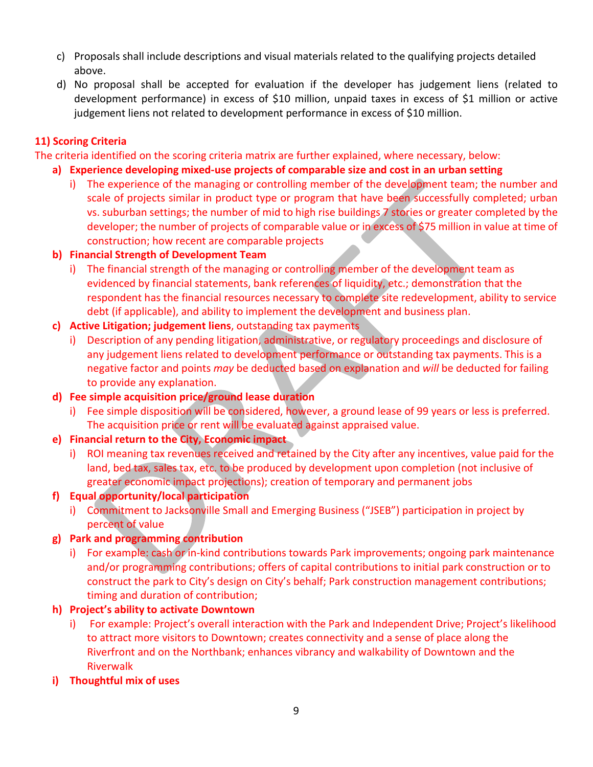- c) Proposals shall include descriptions and visual materials related to the qualifying projects detailed above.
- d) No proposal shall be accepted for evaluation if the developer has judgement liens (related to development performance) in excess of \$10 million, unpaid taxes in excess of \$1 million or active judgement liens not related to development performance in excess of \$10 million.

# **11) Scoring Criteria**

The criteria identified on the scoring criteria matrix are further explained, where necessary, below:

# **a) Experience developing mixed-use projects of comparable size and cost in an urban setting**

i) The experience of the managing or controlling member of the development team; the number and scale of projects similar in product type or program that have been successfully completed; urban vs. suburban settings; the number of mid to high rise buildings 7 stories or greater completed by the developer; the number of projects of comparable value or in excess of \$75 million in value at time of construction; how recent are comparable projects

# **b) Financial Strength of Development Team**

- i) The financial strength of the managing or controlling member of the development team as evidenced by financial statements, bank references of liquidity, etc.; demonstration that the respondent has the financial resources necessary to complete site redevelopment, ability to service debt (if applicable), and ability to implement the development and business plan.
- **c) Active Litigation; judgement liens**, outstanding tax payments
	- i) Description of any pending litigation, administrative, or regulatory proceedings and disclosure of any judgement liens related to development performance or outstanding tax payments. This is a negative factor and points *may* be deducted based on explanation and *will* be deducted for failing to provide any explanation.
- **d) Fee simple acquisition price/ground lease duration** 
	- i) Fee simple disposition will be considered, however, a ground lease of 99 years or less is preferred. The acquisition price or rent will be evaluated against appraised value.

# **e) Financial return to the City, Economic impact**

- i) ROI meaning tax revenues received and retained by the City after any incentives, value paid for the land, bed tax, sales tax, etc. to be produced by development upon completion (not inclusive of greater economic impact projections); creation of temporary and permanent jobs
- **f) Equal opportunity/local participation**
	- i) Commitment to Jacksonville Small and Emerging Business ("JSEB") participation in project by percent of value

# **g) Park and programming contribution**

i) For example: cash or in-kind contributions towards Park improvements; ongoing park maintenance and/or programming contributions; offers of capital contributions to initial park construction or to construct the park to City's design on City's behalf; Park construction management contributions; timing and duration of contribution;

# **h) Project's ability to activate Downtown**

- i) For example: Project's overall interaction with the Park and Independent Drive; Project's likelihood to attract more visitors to Downtown; creates connectivity and a sense of place along the Riverfront and on the Northbank; enhances vibrancy and walkability of Downtown and the Riverwalk
- **i) Thoughtful mix of uses**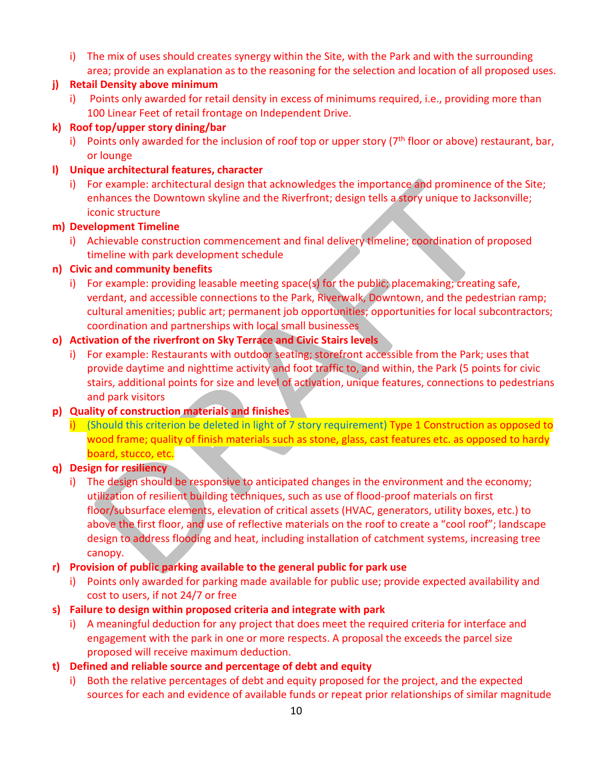i) The mix of uses should creates synergy within the Site, with the Park and with the surrounding area; provide an explanation as to the reasoning for the selection and location of all proposed uses.

#### **j) Retail Density above minimum**

i) Points only awarded for retail density in excess of minimums required, i.e., providing more than 100 Linear Feet of retail frontage on Independent Drive.

#### **k) Roof top/upper story dining/bar**

i) Points only awarded for the inclusion of roof top or upper story  $(7<sup>th</sup>$  floor or above) restaurant, bar, or lounge

#### **l) Unique architectural features, character**

i) For example: architectural design that acknowledges the importance and prominence of the Site; enhances the Downtown skyline and the Riverfront; design tells a story unique to Jacksonville; iconic structure

#### **m) Development Timeline**

i) Achievable construction commencement and final delivery timeline; coordination of proposed timeline with park development schedule

#### **n) Civic and community benefits**

i) For example: providing leasable meeting space(s) for the public; placemaking; creating safe, verdant, and accessible connections to the Park, Riverwalk, Downtown, and the pedestrian ramp; cultural amenities; public art; permanent job opportunities; opportunities for local subcontractors; coordination and partnerships with local small businesses

# **o) Activation of the riverfront on Sky Terrace and Civic Stairs levels**

i) For example: Restaurants with outdoor seating; storefront accessible from the Park; uses that provide daytime and nighttime activity and foot traffic to, and within, the Park (5 points for civic stairs, additional points for size and level of activation, unique features, connections to pedestrians and park visitors

# **p) Quality of construction materials and finishes**

i) (Should this criterion be deleted in light of 7 story requirement) Type 1 Construction as opposed to wood frame; quality of finish materials such as stone, glass, cast features etc. as opposed to hardy board, stucco, etc.

#### **q) Design for resiliency**

i) The design should be responsive to anticipated changes in the environment and the economy; utilization of resilient building techniques, such as use of flood-proof materials on first floor/subsurface elements, elevation of critical assets (HVAC, generators, utility boxes, etc.) to above the first floor, and use of reflective materials on the roof to create a "cool roof"; landscape design to address flooding and heat, including installation of catchment systems, increasing tree canopy.

# **r) Provision of public parking available to the general public for park use**

- i) Points only awarded for parking made available for public use; provide expected availability and cost to users, if not 24/7 or free
- **s) Failure to design within proposed criteria and integrate with park**
	- i) A meaningful deduction for any project that does meet the required criteria for interface and engagement with the park in one or more respects. A proposal the exceeds the parcel size proposed will receive maximum deduction.

# **t) Defined and reliable source and percentage of debt and equity**

i) Both the relative percentages of debt and equity proposed for the project, and the expected sources for each and evidence of available funds or repeat prior relationships of similar magnitude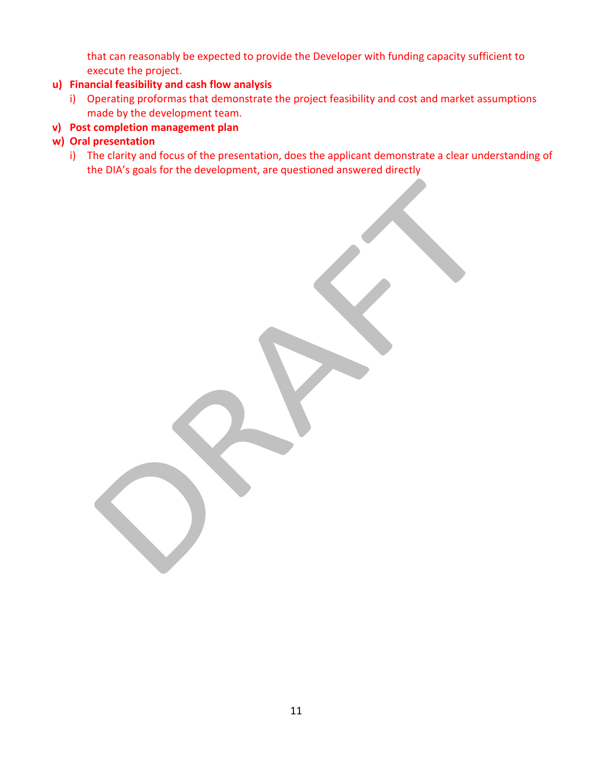that can reasonably be expected to provide the Developer with funding capacity sufficient to execute the project.

# **u) Financial feasibility and cash flow analysis**

i) Operating proformas that demonstrate the project feasibility and cost and market assumptions made by the development team.

#### **v) Post completion management plan**

#### **w) Oral presentation**

i) The clarity and focus of the presentation, does the applicant demonstrate a clear understanding of the DIA's goals for the development, are questioned answered directly